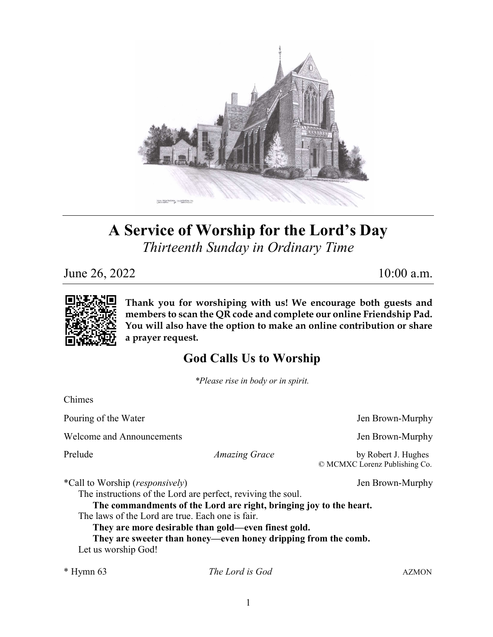

# A Service of Worship for the Lord's Day Thirteenth Sunday in Ordinary Time

June 26, 2022 10:00 a.m.



Thank you for worshiping with us! We encourage both guests and members to scan the QR code and complete our online Friendship Pad. You will also have the option to make an online contribution or share a prayer request.

## God Calls Us to Worship

\*Please rise in body or in spirit.

Chimes

Pouring of the Water  $\blacksquare$ 

Welcome and Announcements **Sexually** Jen Brown-Murphy

Prelude Amazing Grace by Robert J. Hughes © MCMXC Lorenz Publishing Co.

\*Call to Worship (responsively) Jen Brown-Murphy

The instructions of the Lord are perfect, reviving the soul.

The commandments of the Lord are right, bringing joy to the heart.

The laws of the Lord are true. Each one is fair.

They are more desirable than gold—even finest gold.

They are sweeter than honey—even honey dripping from the comb. Let us worship God!

\* Hymn 63 The Lord is God AZMON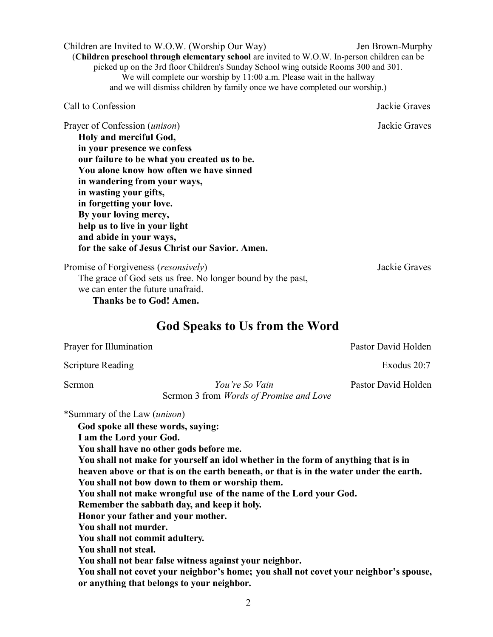(Children preschool through elementary school are invited to W.O.W. In-person children can be picked up on the 3rd floor Children's Sunday School wing outside Rooms 300 and 301. We will complete our worship by 11:00 a.m. Please wait in the hallway and we will dismiss children by family once we have completed our worship.) Call to Confession Jackie Graves Prayer of Confession (*unison*) Sackie Graves Holy and merciful God, in your presence we confess our failure to be what you created us to be. You alone know how often we have sinned in wandering from your ways, in wasting your gifts, in forgetting your love. By your loving mercy, help us to live in your light and abide in your ways, for the sake of Jesus Christ our Savior. Amen.

Children are Invited to W.O.W. (Worship Our Way) Jen Brown-Murphy

Promise of Forgiveness (*resonsively*) Jackie Graves The grace of God sets us free. No longer bound by the past, we can enter the future unafraid. Thanks be to God! Amen.

#### God Speaks to Us from the Word

Prayer for Illumination **Pastor David Holden** Pastor David Holden Scripture Reading Exodus 20:7 Sermon Sou're So Vain Pastor David Holden Sermon 3 from Words of Promise and Love \*Summary of the Law (unison) God spoke all these words, saying: I am the Lord your God. You shall have no other gods before me. You shall not make for yourself an idol whether in the form of anything that is in heaven above or that is on the earth beneath, or that is in the water under the earth. You shall not bow down to them or worship them. You shall not make wrongful use of the name of the Lord your God. Remember the sabbath day, and keep it holy. Honor your father and your mother. You shall not murder. You shall not commit adultery. You shall not steal. You shall not bear false witness against your neighbor.

You shall not covet your neighbor's home; you shall not covet your neighbor's spouse, or anything that belongs to your neighbor.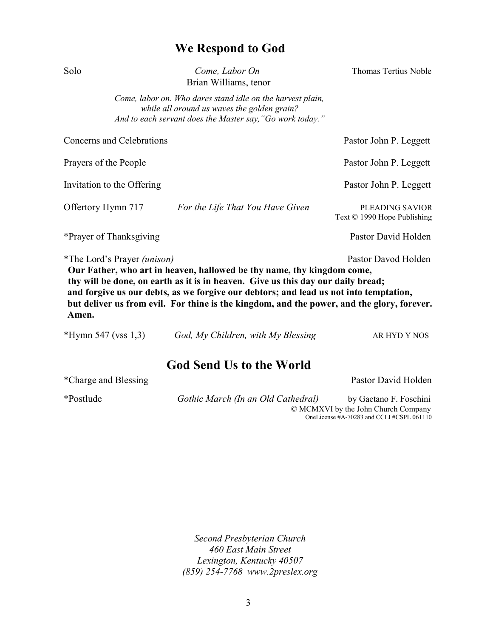### We Respond to God

| Solo                               | Come, Labor On<br>Brian Williams, tenor                                                                                                                                                                                                             | Thomas Tertius Noble                           |
|------------------------------------|-----------------------------------------------------------------------------------------------------------------------------------------------------------------------------------------------------------------------------------------------------|------------------------------------------------|
|                                    | Come, labor on. Who dares stand idle on the harvest plain,<br>while all around us waves the golden grain?<br>And to each servant does the Master say, "Go work today."                                                                              |                                                |
| Concerns and Celebrations          | Pastor John P. Leggett                                                                                                                                                                                                                              |                                                |
| Prayers of the People              | Pastor John P. Leggett                                                                                                                                                                                                                              |                                                |
| Invitation to the Offering         | Pastor John P. Leggett                                                                                                                                                                                                                              |                                                |
| Offertory Hymn 717                 | For the Life That You Have Given                                                                                                                                                                                                                    | PLEADING SAVIOR<br>Text © 1990 Hope Publishing |
| *Prayer of Thanksgiving            | Pastor David Holden                                                                                                                                                                                                                                 |                                                |
| *The Lord's Prayer <i>(unison)</i> | Our Father, who art in heaven, hallowed be thy name, thy kingdom come,<br>thy will be done, on earth as it is in heaven. Give us this day our daily bread;<br>and forgive us our debts, as we forgive our debtors; and lead us not into temptation, | Pastor Davod Holden                            |

but deliver us from evil. For thine is the kingdom, and the power, and the glory, forever. Amen.

\*Hymn 547 (vss 1,3) God, My Children, with My Blessing AR HYD Y NOS

#### God Send Us to the World

| *Charge and Blessing |                                     | Pastor David Holden                           |
|----------------------|-------------------------------------|-----------------------------------------------|
| *Postlude            | Gothic March (In an Old Cathedral)  | by Gaetano F. Foschini                        |
|                      | © MCMXVI by the John Church Company |                                               |
|                      |                                     | OneLicense $#A-70283$ and CCLI $#CSPL 061110$ |

Second Presbyterian Church 460 East Main Street Lexington, Kentucky 40507 (859) 254-7768 www.2preslex.org